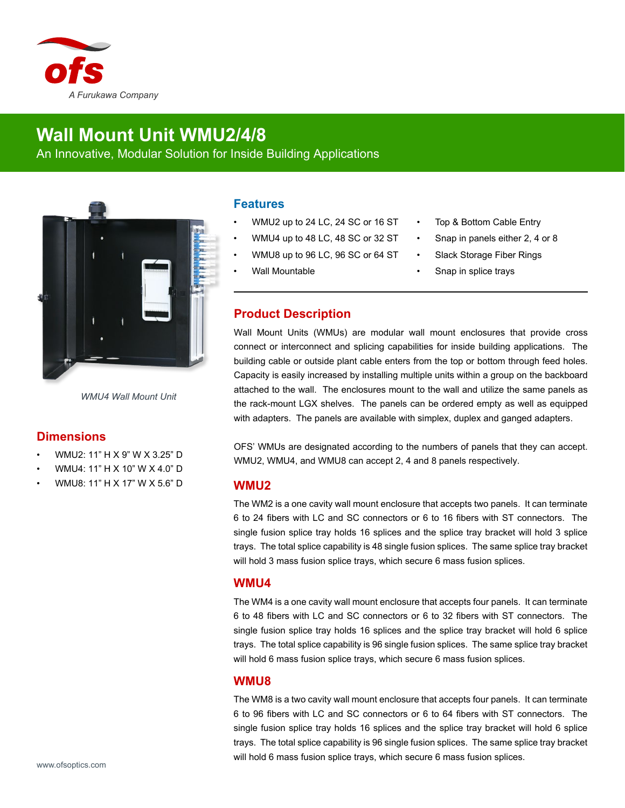

# **Wall Mount Unit WMU2/4/8**

An Innovative, Modular Solution for Inside Building Applications



*WMU4 Wall Mount Unit*

## **Dimensions**

- WMU2: 11" H X 9" W X 3.25" D
- WMU4: 11" H X 10" W X 4.0" D
- WMU8: 11" H X 17" W X 5.6" D

#### **Features**

- WMU2 up to 24 LC, 24 SC or 16 ST
- WMU4 up to 48 LC, 48 SC or 32 ST
- WMU8 up to 96 LC, 96 SC or 64 ST
- Wall Mountable
- Top & Bottom Cable Entry
- Snap in panels either 2, 4 or 8
- Slack Storage Fiber Rings
- Snap in splice trays

## **Product Description**

Wall Mount Units (WMUs) are modular wall mount enclosures that provide cross connect or interconnect and splicing capabilities for inside building applications. The building cable or outside plant cable enters from the top or bottom through feed holes. Capacity is easily increased by installing multiple units within a group on the backboard attached to the wall. The enclosures mount to the wall and utilize the same panels as the rack-mount LGX shelves. The panels can be ordered empty as well as equipped with adapters. The panels are available with simplex, duplex and ganged adapters.

OFS' WMUs are designated according to the numbers of panels that they can accept. WMU2, WMU4, and WMU8 can accept 2, 4 and 8 panels respectively.

#### **WMU2**

The WM2 is a one cavity wall mount enclosure that accepts two panels. It can terminate 6 to 24 fibers with LC and SC connectors or 6 to 16 fibers with ST connectors. The single fusion splice tray holds 16 splices and the splice tray bracket will hold 3 splice trays. The total splice capability is 48 single fusion splices. The same splice tray bracket will hold 3 mass fusion splice trays, which secure 6 mass fusion splices.

#### **WMU4**

The WM4 is a one cavity wall mount enclosure that accepts four panels. It can terminate 6 to 48 fibers with LC and SC connectors or 6 to 32 fibers with ST connectors. The single fusion splice tray holds 16 splices and the splice tray bracket will hold 6 splice trays. The total splice capability is 96 single fusion splices. The same splice tray bracket will hold 6 mass fusion splice trays, which secure 6 mass fusion splices.

### **WMU8**

The WM8 is a two cavity wall mount enclosure that accepts four panels. It can terminate 6 to 96 fibers with LC and SC connectors or 6 to 64 fibers with ST connectors. The single fusion splice tray holds 16 splices and the splice tray bracket will hold 6 splice trays. The total splice capability is 96 single fusion splices. The same splice tray bracket will hold 6 mass fusion splice trays, which secure 6 mass fusion splices.